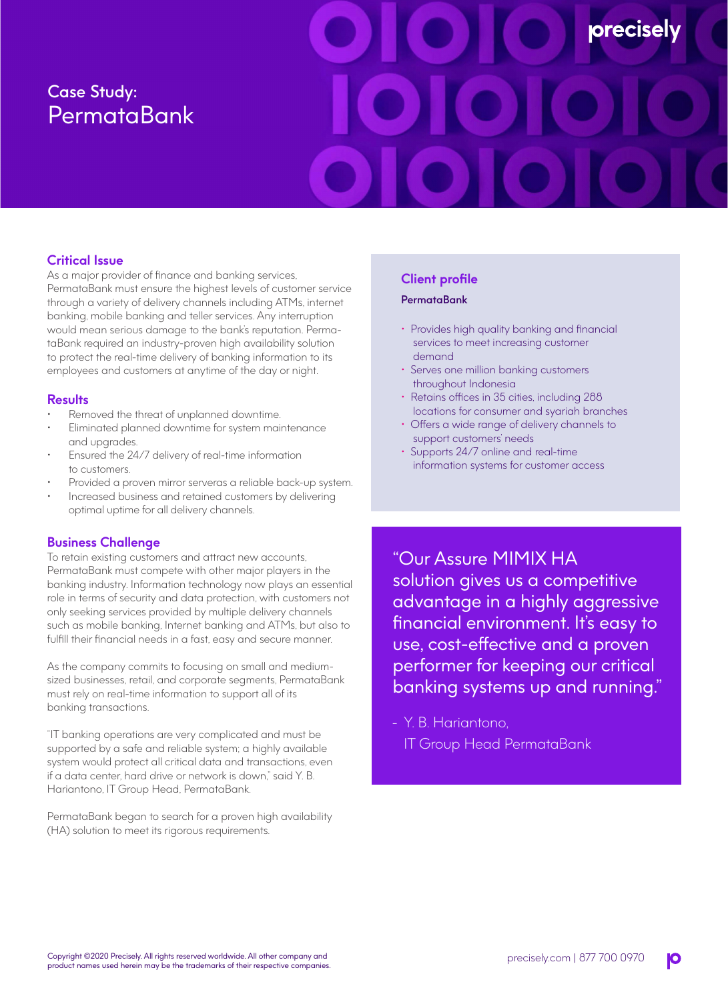# Case Study: **PermataBank**

# **precisel**

# **Critical Issue**

As a major provider of finance and banking services, PermataBank must ensure the highest levels of customer service through a variety of delivery channels including ATMs, internet banking, mobile banking and teller services. Any interruption would mean serious damage to the bank's reputation. PermataBank required an industry-proven high availability solution to protect the real-time delivery of banking information to its employees and customers at anytime of the day or night.

### **Results**

- Removed the threat of unplanned downtime.
- Eliminated planned downtime for system maintenance and upgrades.
- Ensured the 24/7 delivery of real-time information to customers.
- Provided a proven mirror serveras a reliable back-up system.
- Increased business and retained customers by delivering optimal uptime for all delivery channels.

## **Business Challenge**

To retain existing customers and attract new accounts, PermataBank must compete with other major players in the banking industry. Information technology now plays an essential role in terms of security and data protection, with customers not only seeking services provided by multiple delivery channels such as mobile banking, Internet banking and ATMs, but also to fulfill their financial needs in a fast, easy and secure manner.

As the company commits to focusing on small and mediumsized businesses, retail, and corporate segments, PermataBank must rely on real-time information to support all of its banking transactions.

"IT banking operations are very complicated and must be supported by a safe and reliable system; a highly available system would protect all critical data and transactions, even if a data center, hard drive or network is down," said Y. B. Hariantono, IT Group Head, PermataBank.

PermataBank began to search for a proven high availability (HA) solution to meet its rigorous requirements.

### **Client profile**

### PermataBank

- Provides high quality banking and financial services to meet increasing customer demand
- Serves one million banking customers throughout Indonesia
- Retains offices in 35 cities, including 288 locations for consumer and syariah branches
- Offers a wide range of delivery channels to support customers' needs
- Supports 24/7 online and real-time information systems for customer access

"Our Assure MIMIX HA solution gives us a competitive advantage in a highly aggressive financial environment. It's easy to use, cost-effective and a proven performer for keeping our critical banking systems up and running."

- Y. B. Hariantono, IT Group Head PermataBank